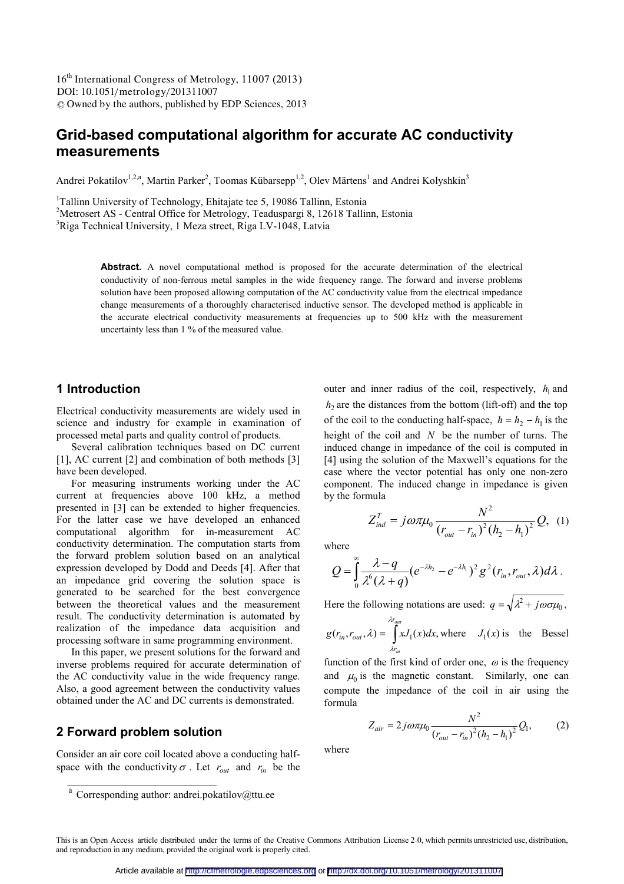DOI: 10.1051/metrology/201311007 <sup>C</sup> Owned by the authors, published by EDP Sciences, 2013 16<sup>th</sup> International Congress of Metrology, 11007 (2013)

# **Grid-based computational algorithm for accurate AC conductivity measurements**

Andrei Pokatilov<sup>1,2,a</sup>, Martin Parker<sup>2</sup>, Toomas Kübarsepp<sup>1,2</sup>, Olev Märtens<sup>1</sup> and Andrei Kolyshkin<sup>3</sup>

<sup>1</sup>Tallinn University of Technology, Ehitajate tee 5, 19086 Tallinn, Estonia <sup>2</sup>Metrosert AS - Central Office for Metrology, Teaduspargi 8, 12618 Tallinn, Estonia <sup>3</sup>Riga Technical University, 1 Meza street, Riga LV-1048, Latvia

> Abstract. A novel computational method is proposed for the accurate determination of the electrical conductivity of non-ferrous metal samples in the wide frequency range. The forward and inverse problems solution have been proposed allowing computation of the AC conductivity value from the electrical impedance change measurements of a thoroughly characterised inductive sensor. The developed method is applicable in the accurate electrical conductivity measurements at frequencies up to 500 kHz with the measurement uncertainty less than 1 % of the measured value.

# **1 Introduction**

Electrical conductivity measurements are widely used in science and industry for example in examination of processed metal parts and quality control of products.

Several calibration techniques based on DC current [1], AC current [2] and combination of both methods [3] have been developed.

For measuring instruments working under the AC current at frequencies above 100 kHz, a method presented in [3] can be extended to higher frequencies. For the latter case we have developed an enhanced computational algorithm for in-measurement AC conductivity determination. The computation starts from the forward problem solution based on an analytical expression developed by Dodd and Deeds [4]. After that an impedance grid covering the solution space is generated to be searched for the best convergence between the theoretical values and the measurement result. The conductivity determination is automated by realization of the impedance data acquisition and processing software in same programming environment.

In this paper, we present solutions for the forward and inverse problems required for accurate determination of the AC conductivity value in the wide frequency range. Also, a good agreement between the conductivity values obtained under the AC and DC currents is demonstrated.

#### **2 Forward problem solution**

Consider an air core coil located above a conducting halfspace with the conductivity  $\sigma$ . Let  $r_{out}$  and  $r_{in}$  be the

outer and inner radius of the coil, respectively,  $h_1$  and  $h_2$  are the distances from the bottom (lift-off) and the top of the coil to the conducting half-space,  $h = h_2 - h_1$  is the height of the coil and *N* be the number of turns. The induced change in impedance of the coil is computed in [4] using the solution of the Maxwell's equations for the case where the vector potential has only one non-zero component. The induced change in impedance is given by the formula

$$
Z_{ind}^T = j\omega \pi \mu_0 \frac{N^2}{(r_{out} - r_{in})^2 (h_2 - h_1)^2} Q, (1)
$$

where

$$
Q=\int_{0}^{\infty}\frac{\lambda-q}{\lambda^6(\lambda+q)}(e^{-\lambda h_2}-e^{-\lambda h_1})^2g^2(r_{in},r_{out},\lambda)d\lambda.
$$

Here the following notations are used:  $q = \sqrt{\lambda^2 + j\omega \sigma \mu_0}$ ,

$$
g(r_{in}, r_{out}, \lambda) = \int_{\lambda r_{in}}^{\lambda r_{out}} x J_1(x) dx
$$
, where  $J_1(x)$  is the Bessel

function of the first kind of order one,  $\omega$  is the frequency and  $\mu_0$  is the magnetic constant. Similarly, one can compute the impedance of the coil in air using the formula

$$
Z_{air} = 2j\omega\pi\mu_0 \frac{N^2}{(r_{out} - r_{in})^2 (h_2 - h_1)^2} Q_1,
$$
 (2)

where

 $\overline{a}$  Corresponding author: andrei.pokatilov@ttu.ee

This is an Open Access article distributed under the terms of the Creative Commons Attribution License 2.0, which permits unrestricted use, distribution, and reproduction in any medium, provided the original work is properly cited.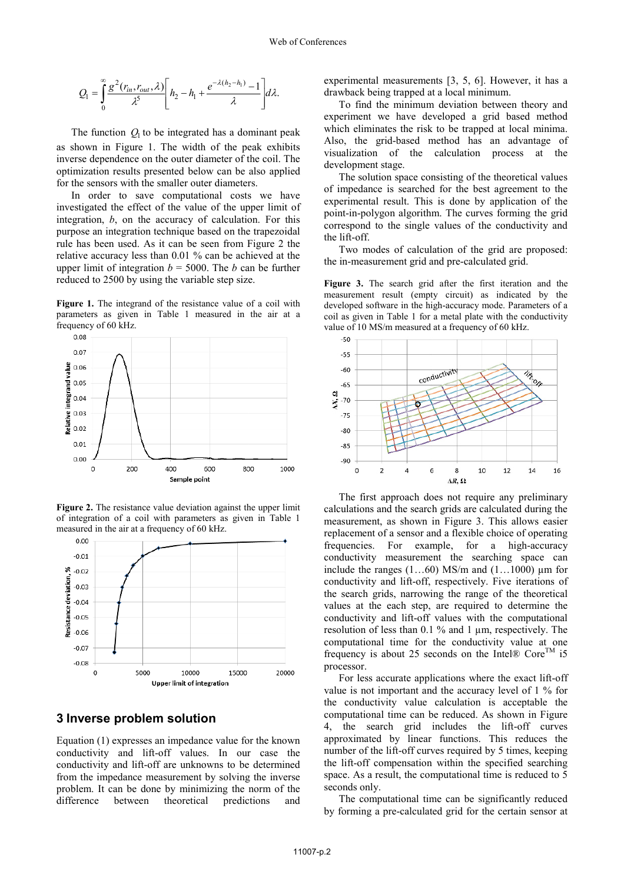.

$$
Q_1 = \int_0^\infty \frac{g^2(r_{in}, r_{out}, \lambda)}{\lambda^5} \left[ h_2 - h_1 + \frac{e^{-\lambda(h_2 - h_1)} - 1}{\lambda} \right] d\lambda.
$$

The function  $Q_1$  to be integrated has a dominant peak as shown in Figure 1. The width of the peak exhibits inverse dependence on the outer diameter of the coil. The optimization results presented below can be also applied for the sensors with the smaller outer diameters.

In order to save computational costs we have investigated the effect of the value of the upper limit of integration, *b*, on the accuracy of calculation. For this purpose an integration technique based on the trapezoidal rule has been used. As it can be seen from Figure 2 the relative accuracy less than 0.01 % can be achieved at the upper limit of integration  $b = 5000$ . The *b* can be further reduced to 2500 by using the variable step size.

**Figure 1.** The integrand of the resistance value of a coil with parameters as given in Table 1 measured in the air at a frequency of 60 kHz.



**Figure 2.** The resistance value deviation against the upper limit of integration of a coil with parameters as given in Table 1 measured in the air at a frequency of 60 kHz.



## **3 Inverse problem solution**

Equation (1) expresses an impedance value for the known conductivity and lift-off values. In our case the conductivity and lift-off are unknowns to be determined from the impedance measurement by solving the inverse problem. It can be done by minimizing the norm of the difference between theoretical predictions and experimental measurements [3, 5, 6]. However, it has a drawback being trapped at a local minimum.

To find the minimum deviation between theory and experiment we have developed a grid based method which eliminates the risk to be trapped at local minima. Also, the grid-based method has an advantage of visualization of the calculation process at the development stage.

The solution space consisting of the theoretical values of impedance is searched for the best agreement to the experimental result. This is done by application of the point-in-polygon algorithm. The curves forming the grid correspond to the single values of the conductivity and the lift-off.

Two modes of calculation of the grid are proposed: the in-measurement grid and pre-calculated grid.

**Figure 3.** The search grid after the first iteration and the measurement result (empty circuit) as indicated by the developed software in the high-accuracy mode. Parameters of a coil as given in Table 1 for a metal plate with the conductivity value of 10 MS/m measured at a frequency of 60 kHz.



The first approach does not require any preliminary calculations and the search grids are calculated during the measurement, as shown in Figure 3. This allows easier replacement of a sensor and a flexible choice of operating frequencies. For example, for a high-accuracy conductivity measurement the searching space can include the ranges  $(1...60)$  MS/m and  $(1...1000)$  µm for conductivity and lift-off, respectively. Five iterations of the search grids, narrowing the range of the theoretical values at the each step, are required to determine the conductivity and lift-off values with the computational resolution of less than 0.1 % and 1 µm, respectively. The computational time for the conductivity value at one frequency is about 25 seconds on the Intel®  $\text{Core}^{\text{TM}}$  i5 processor.

For less accurate applications where the exact lift-off value is not important and the accuracy level of 1 % for the conductivity value calculation is acceptable the computational time can be reduced. As shown in Figure 4, the search grid includes the lift-off curves approximated by linear functions. This reduces the number of the lift-off curves required by 5 times, keeping the lift-off compensation within the specified searching space. As a result, the computational time is reduced to 5 seconds only.

The computational time can be significantly reduced by forming a pre-calculated grid for the certain sensor at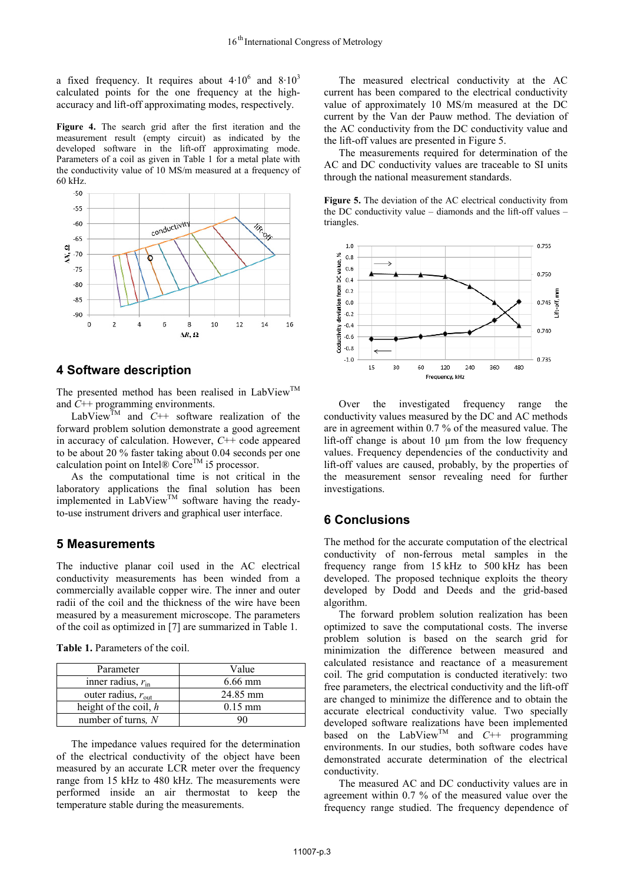a fixed frequency. It requires about  $4.10^6$  and  $8.10^3$ calculated points for the one frequency at the highaccuracy and lift-off approximating modes, respectively.

**Figure 4.** The search grid after the first iteration and the measurement result (empty circuit) as indicated by the developed software in the lift-off approximating mode. Parameters of a coil as given in Table 1 for a metal plate with the conductivity value of 10 MS/m measured at a frequency of 60 kHz.

![](_page_2_Figure_3.jpeg)

## **4 Software description**

The presented method has been realised in LabView<sup>TM</sup> and *C*++ programming environments.

LabView<sup>TM</sup> and  $C++$  software realization of the forward problem solution demonstrate a good agreement in accuracy of calculation. However, *C*++ code appeared to be about 20 % faster taking about 0.04 seconds per one calculation point on Intel® Core<sup>TM</sup> i5 processor.

As the computational time is not critical in the laboratory applications the final solution has been implemented in LabView<sup>TM</sup> software having the readyto-use instrument drivers and graphical user interface.

## **5 Measurements**

The inductive planar coil used in the AC electrical conductivity measurements has been winded from a commercially available copper wire. The inner and outer radii of the coil and the thickness of the wire have been measured by a measurement microscope. The parameters of the coil as optimized in [7] are summarized in Table 1.

| <b>Table 1.</b> Parameters of the coil. |  |
|-----------------------------------------|--|
|-----------------------------------------|--|

| Parameter                      | Value     |
|--------------------------------|-----------|
| inner radius, $r_{\text{in}}$  | $6.66$ mm |
| outer radius, $r_{\text{out}}$ | 24.85 mm  |
| height of the coil, $h$        | $0.15$ mm |
| number of turns, N             |           |

The impedance values required for the determination of the electrical conductivity of the object have been measured by an accurate LCR meter over the frequency range from 15 kHz to 480 kHz. The measurements were performed inside an air thermostat to keep the temperature stable during the measurements.

The measured electrical conductivity at the AC current has been compared to the electrical conductivity value of approximately 10 MS/m measured at the DC current by the Van der Pauw method. The deviation of the AC conductivity from the DC conductivity value and the lift-off values are presented in Figure 5.

The measurements required for determination of the AC and DC conductivity values are traceable to SI units through the national measurement standards.

**Figure 5.** The deviation of the AC electrical conductivity from the DC conductivity value – diamonds and the lift-off values – triangles.

![](_page_2_Figure_16.jpeg)

Over the investigated frequency range the conductivity values measured by the DC and AC methods are in agreement within 0.7 % of the measured value. The lift-off change is about 10 µm from the low frequency values. Frequency dependencies of the conductivity and lift-off values are caused, probably, by the properties of the measurement sensor revealing need for further investigations.

#### **6 Conclusions**

The method for the accurate computation of the electrical conductivity of non-ferrous metal samples in the frequency range from 15 kHz to 500 kHz has been developed. The proposed technique exploits the theory developed by Dodd and Deeds and the grid-based algorithm.

The forward problem solution realization has been optimized to save the computational costs. The inverse problem solution is based on the search grid for minimization the difference between measured and calculated resistance and reactance of a measurement coil. The grid computation is conducted iteratively: two free parameters, the electrical conductivity and the lift-off are changed to minimize the difference and to obtain the accurate electrical conductivity value. Two specially developed software realizations have been implemented based on the LabView<sup>TM</sup> and  $C_{++}$  programming environments. In our studies, both software codes have demonstrated accurate determination of the electrical conductivity.

The measured AC and DC conductivity values are in agreement within 0.7 % of the measured value over the frequency range studied. The frequency dependence of